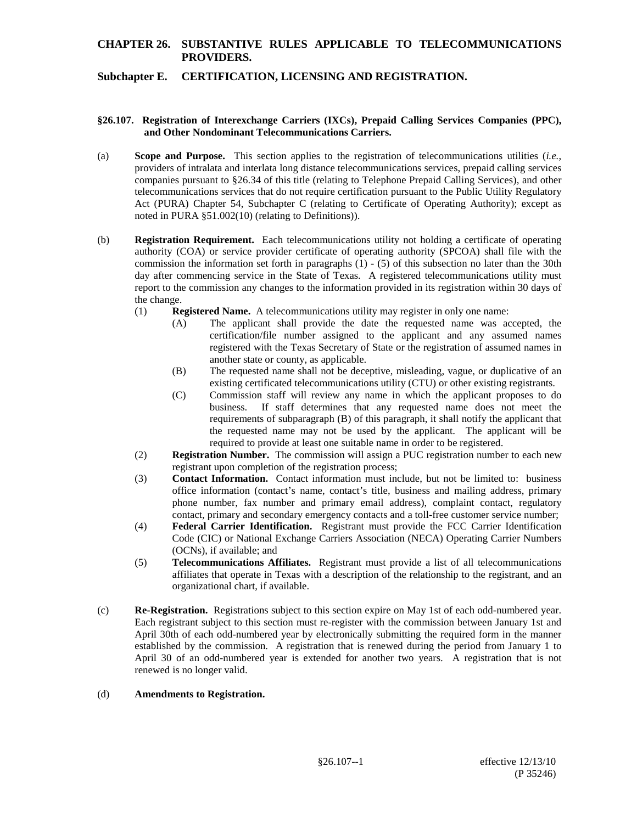# **CHAPTER 26. SUBSTANTIVE RULES APPLICABLE TO TELECOMMUNICATIONS PROVIDERS.**

## **Subchapter E. CERTIFICATION, LICENSING AND REGISTRATION.**

### **§26.107. Registration of Interexchange Carriers (IXCs), Prepaid Calling Services Companies (PPC), and Other Nondominant Telecommunications Carriers.**

- (a) **Scope and Purpose.** This section applies to the registration of telecommunications utilities (*i.e.*, providers of intralata and interlata long distance telecommunications services, prepaid calling services companies pursuant to §26.34 of this title (relating to Telephone Prepaid Calling Services), and other telecommunications services that do not require certification pursuant to the Public Utility Regulatory Act (PURA) Chapter 54, Subchapter C (relating to Certificate of Operating Authority); except as noted in PURA §51.002(10) (relating to Definitions)).
- (b) **Registration Requirement.** Each telecommunications utility not holding a certificate of operating authority (COA) or service provider certificate of operating authority (SPCOA) shall file with the commission the information set forth in paragraphs  $(1)$  -  $(5)$  of this subsection no later than the 30th day after commencing service in the State of Texas. A registered telecommunications utility must report to the commission any changes to the information provided in its registration within 30 days of the change.
	- (1) **Registered Name.** A telecommunications utility may register in only one name:
		- (A) The applicant shall provide the date the requested name was accepted, the certification/file number assigned to the applicant and any assumed names registered with the Texas Secretary of State or the registration of assumed names in another state or county, as applicable.
		- (B) The requested name shall not be deceptive, misleading, vague, or duplicative of an existing certificated telecommunications utility (CTU) or other existing registrants.
		- (C) Commission staff will review any name in which the applicant proposes to do business. If staff determines that any requested name does not meet the requirements of subparagraph (B) of this paragraph, it shall notify the applicant that the requested name may not be used by the applicant. The applicant will be required to provide at least one suitable name in order to be registered.
	- (2) **Registration Number.** The commission will assign a PUC registration number to each new registrant upon completion of the registration process;
	- (3) **Contact Information.** Contact information must include, but not be limited to: business office information (contact's name, contact's title, business and mailing address, primary phone number, fax number and primary email address), complaint contact, regulatory contact, primary and secondary emergency contacts and a toll-free customer service number;
	- (4) **Federal Carrier Identification.** Registrant must provide the FCC Carrier Identification Code (CIC) or National Exchange Carriers Association (NECA) Operating Carrier Numbers (OCNs), if available; and
	- (5) **Telecommunications Affiliates.** Registrant must provide a list of all telecommunications affiliates that operate in Texas with a description of the relationship to the registrant, and an organizational chart, if available.
- (c) **Re-Registration.** Registrations subject to this section expire on May 1st of each odd-numbered year. Each registrant subject to this section must re-register with the commission between January 1st and April 30th of each odd-numbered year by electronically submitting the required form in the manner established by the commission. A registration that is renewed during the period from January 1 to April 30 of an odd-numbered year is extended for another two years. A registration that is not renewed is no longer valid.

### (d) **Amendments to Registration.**